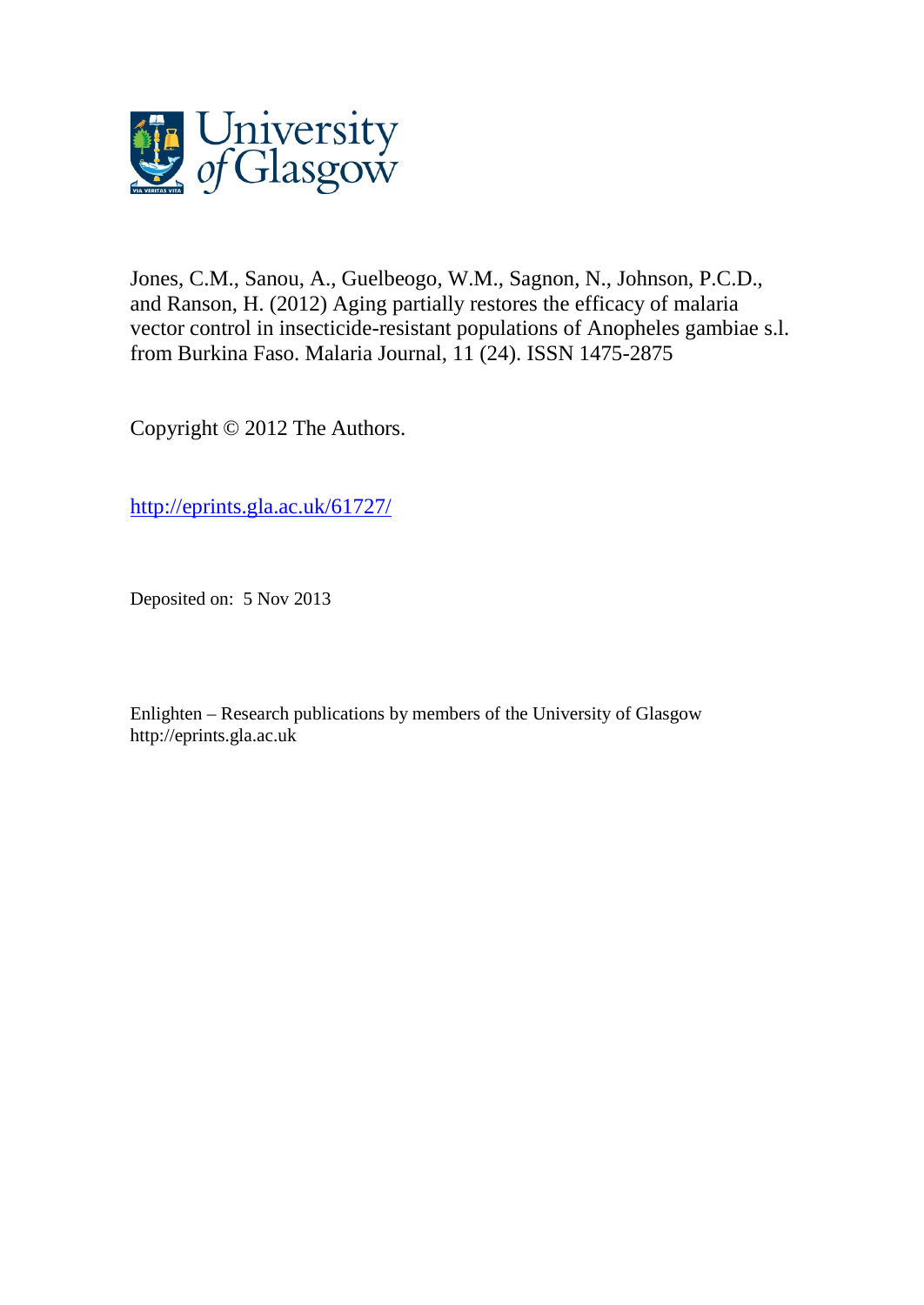

Jones, C.M., Sanou, A., Guelbeogo, W.M., Sagnon, N., Johnson, P.C.D., and Ranson, H. (2012) Aging partially restores the efficacy of malaria vector control in insecticide-resistant populations of Anopheles gambiae s.l. from Burkina Faso. Malaria Journal, 11 (24). ISSN 1475-2875

Copyright © 2012 The Authors.

[http://eprints.gla.ac.uk/61727/](http://eprints.gla.ac.uk/80729/)

Deposited on: 5 Nov 2013

Enlighten – Research publications by members of the University of Glasgo[w](http://eprints.gla.ac.uk/) [http://eprints.gla.ac.uk](http://eprints.gla.ac.uk/)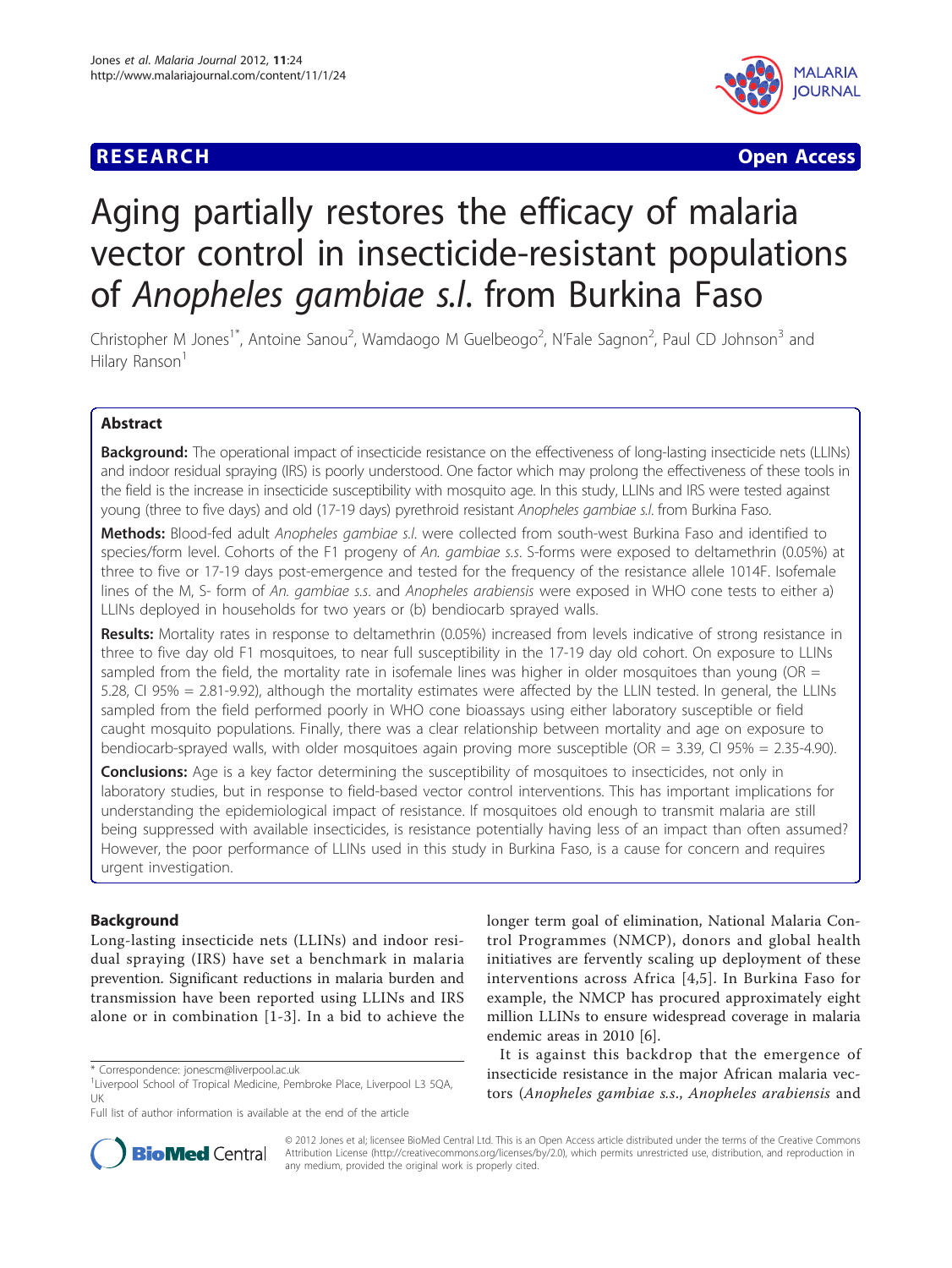# **RESEARCH CHRISTIAN CONSUMING CONTRACT CONSUMING CONSUMING CONSUMING CONSUMING CONSUMING CONSUMING CONSUMING CO**



# Aging partially restores the efficacy of malaria vector control in insecticide-resistant populations of Anopheles gambiae s.l. from Burkina Faso

Christopher M Jones<sup>1\*</sup>, Antoine Sanou<sup>2</sup>, Wamdaogo M Guelbeogo<sup>2</sup>, N'Fale Sagnon<sup>2</sup>, Paul CD Johnson<sup>3</sup> and Hilary Ranson<sup>1</sup>

# Abstract

Background: The operational impact of insecticide resistance on the effectiveness of long-lasting insecticide nets (LLINs) and indoor residual spraying (IRS) is poorly understood. One factor which may prolong the effectiveness of these tools in the field is the increase in insecticide susceptibility with mosquito age. In this study, LLINs and IRS were tested against young (three to five days) and old (17-19 days) pyrethroid resistant Anopheles gambiae s.l. from Burkina Faso.

Methods: Blood-fed adult Anopheles gambiae s.l. were collected from south-west Burkina Faso and identified to species/form level. Cohorts of the F1 progeny of An. gambiae s.s. S-forms were exposed to deltamethrin (0.05%) at three to five or 17-19 days post-emergence and tested for the frequency of the resistance allele 1014F. Isofemale lines of the M, S- form of An. gambiae s.s. and Anopheles arabiensis were exposed in WHO cone tests to either a) LLINs deployed in households for two years or (b) bendiocarb sprayed walls.

Results: Mortality rates in response to deltamethrin (0.05%) increased from levels indicative of strong resistance in three to five day old F1 mosquitoes, to near full susceptibility in the 17-19 day old cohort. On exposure to LLINs sampled from the field, the mortality rate in isofemale lines was higher in older mosquitoes than young (OR  $=$ 5.28, CI 95% = 2.81-9.92), although the mortality estimates were affected by the LLIN tested. In general, the LLINs sampled from the field performed poorly in WHO cone bioassays using either laboratory susceptible or field caught mosquito populations. Finally, there was a clear relationship between mortality and age on exposure to bendiocarb-sprayed walls, with older mosquitoes again proving more susceptible (OR = 3.39, CI 95% = 2.35-4.90).

**Conclusions:** Age is a key factor determining the susceptibility of mosquitoes to insecticides, not only in laboratory studies, but in response to field-based vector control interventions. This has important implications for understanding the epidemiological impact of resistance. If mosquitoes old enough to transmit malaria are still being suppressed with available insecticides, is resistance potentially having less of an impact than often assumed? However, the poor performance of LLINs used in this study in Burkina Faso, is a cause for concern and requires urgent investigation.

# Background

Long-lasting insecticide nets (LLINs) and indoor residual spraying (IRS) have set a benchmark in malaria prevention. Significant reductions in malaria burden and transmission have been reported using LLINs and IRS alone or in combination [[1-3\]](#page-10-0). In a bid to achieve the

longer term goal of elimination, National Malaria Control Programmes (NMCP), donors and global health initiatives are fervently scaling up deployment of these interventions across Africa [[4](#page-10-0),[5\]](#page-10-0). In Burkina Faso for example, the NMCP has procured approximately eight million LLINs to ensure widespread coverage in malaria endemic areas in 2010 [\[6](#page-10-0)].

It is against this backdrop that the emergence of insecticide resistance in the major African malaria vectors (Anopheles gambiae s.s., Anopheles arabiensis and



© 2012 Jones et al; licensee BioMed Central Ltd. This is an Open Access article distributed under the terms of the Creative Commons Attribution License [\(http://creativecommons.org/licenses/by/2.0](http://creativecommons.org/licenses/by/2.0)), which permits unrestricted use, distribution, and reproduction in any medium, provided the original work is properly cited.

<sup>\*</sup> Correspondence: [jonescm@liverpool.ac.uk](mailto:jonescm@liverpool.ac.uk)

<sup>&</sup>lt;sup>1</sup> Liverpool School of Tropical Medicine, Pembroke Place, Liverpool L3 5QA, UK

Full list of author information is available at the end of the article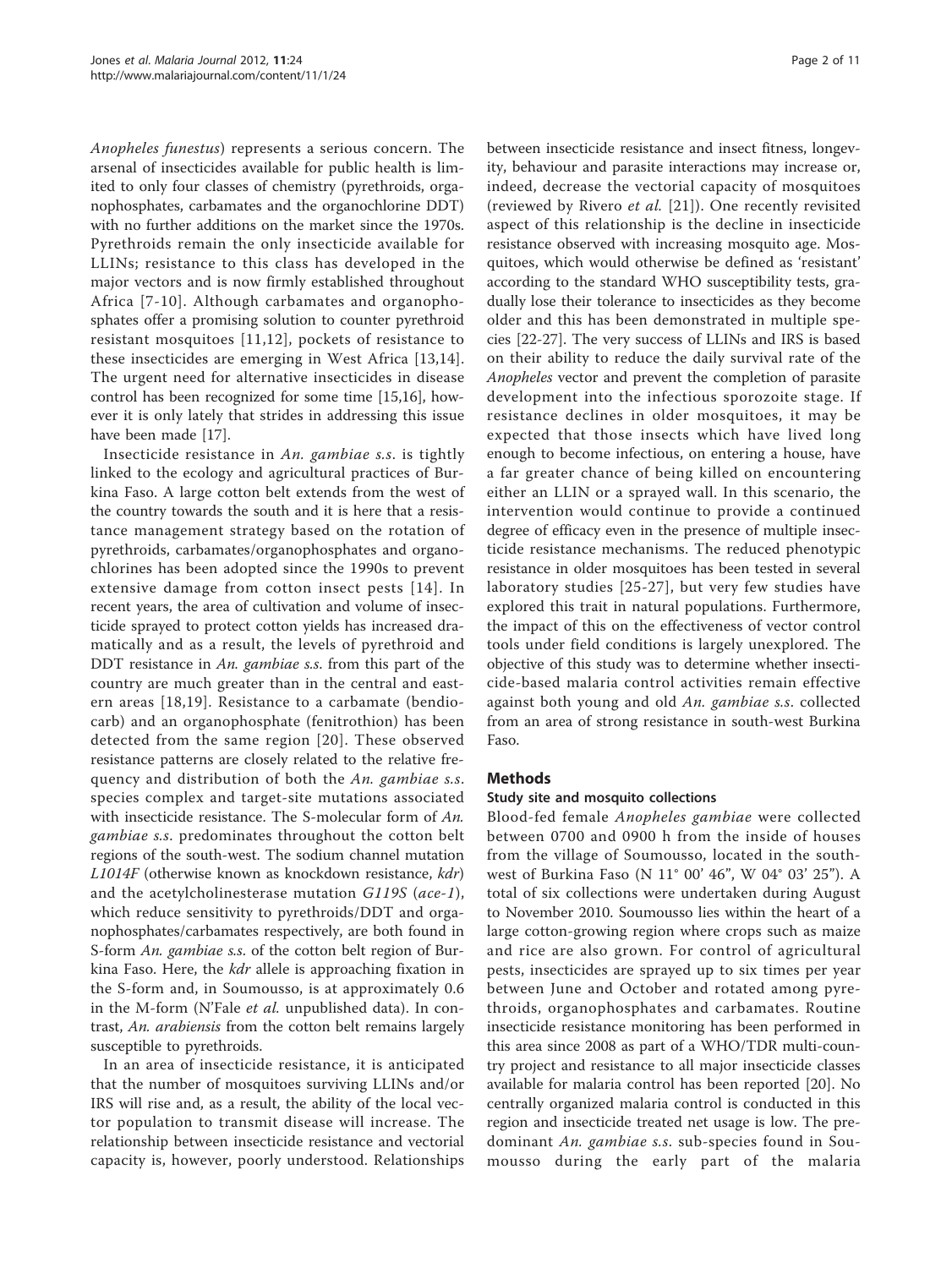Anopheles funestus) represents a serious concern. The arsenal of insecticides available for public health is limited to only four classes of chemistry (pyrethroids, organophosphates, carbamates and the organochlorine DDT) with no further additions on the market since the 1970s. Pyrethroids remain the only insecticide available for LLINs; resistance to this class has developed in the major vectors and is now firmly established throughout Africa [[7-10](#page-11-0)]. Although carbamates and organophosphates offer a promising solution to counter pyrethroid resistant mosquitoes [[11](#page-11-0),[12](#page-11-0)], pockets of resistance to these insecticides are emerging in West Africa [[13,14](#page-11-0)]. The urgent need for alternative insecticides in disease control has been recognized for some time [[15,16](#page-11-0)], however it is only lately that strides in addressing this issue have been made [\[17](#page-11-0)].

Insecticide resistance in An. gambiae s.s. is tightly linked to the ecology and agricultural practices of Burkina Faso. A large cotton belt extends from the west of the country towards the south and it is here that a resistance management strategy based on the rotation of pyrethroids, carbamates/organophosphates and organochlorines has been adopted since the 1990s to prevent extensive damage from cotton insect pests [[14](#page-11-0)]. In recent years, the area of cultivation and volume of insecticide sprayed to protect cotton yields has increased dramatically and as a result, the levels of pyrethroid and DDT resistance in An. gambiae s.s. from this part of the country are much greater than in the central and eastern areas [[18](#page-11-0),[19\]](#page-11-0). Resistance to a carbamate (bendiocarb) and an organophosphate (fenitrothion) has been detected from the same region [[20](#page-11-0)]. These observed resistance patterns are closely related to the relative frequency and distribution of both the An. gambiae s.s. species complex and target-site mutations associated with insecticide resistance. The S-molecular form of An. gambiae s.s. predominates throughout the cotton belt regions of the south-west. The sodium channel mutation L1014F (otherwise known as knockdown resistance, kdr) and the acetylcholinesterase mutation G119S (ace-1), which reduce sensitivity to pyrethroids/DDT and organophosphates/carbamates respectively, are both found in S-form An. gambiae s.s. of the cotton belt region of Burkina Faso. Here, the kdr allele is approaching fixation in the S-form and, in Soumousso, is at approximately 0.6 in the M-form (N'Fale *et al.* unpublished data). In contrast, An. arabiensis from the cotton belt remains largely susceptible to pyrethroids.

In an area of insecticide resistance, it is anticipated that the number of mosquitoes surviving LLINs and/or IRS will rise and, as a result, the ability of the local vector population to transmit disease will increase. The relationship between insecticide resistance and vectorial capacity is, however, poorly understood. Relationships between insecticide resistance and insect fitness, longevity, behaviour and parasite interactions may increase or, indeed, decrease the vectorial capacity of mosquitoes (reviewed by Rivero et al. [[21\]](#page-11-0)). One recently revisited aspect of this relationship is the decline in insecticide resistance observed with increasing mosquito age. Mosquitoes, which would otherwise be defined as 'resistant' according to the standard WHO susceptibility tests, gradually lose their tolerance to insecticides as they become older and this has been demonstrated in multiple species [\[22-27](#page-11-0)]. The very success of LLINs and IRS is based on their ability to reduce the daily survival rate of the Anopheles vector and prevent the completion of parasite development into the infectious sporozoite stage. If resistance declines in older mosquitoes, it may be expected that those insects which have lived long enough to become infectious, on entering a house, have a far greater chance of being killed on encountering either an LLIN or a sprayed wall. In this scenario, the intervention would continue to provide a continued degree of efficacy even in the presence of multiple insecticide resistance mechanisms. The reduced phenotypic resistance in older mosquitoes has been tested in several laboratory studies [[25-27](#page-11-0)], but very few studies have explored this trait in natural populations. Furthermore, the impact of this on the effectiveness of vector control tools under field conditions is largely unexplored. The objective of this study was to determine whether insecticide-based malaria control activities remain effective against both young and old An. gambiae s.s. collected from an area of strong resistance in south-west Burkina Faso.

# Methods

# Study site and mosquito collections

Blood-fed female Anopheles gambiae were collected between 0700 and 0900 h from the inside of houses from the village of Soumousso, located in the southwest of Burkina Faso (N 11° 00' 46", W 04° 03' 25"). A total of six collections were undertaken during August to November 2010. Soumousso lies within the heart of a large cotton-growing region where crops such as maize and rice are also grown. For control of agricultural pests, insecticides are sprayed up to six times per year between June and October and rotated among pyrethroids, organophosphates and carbamates. Routine insecticide resistance monitoring has been performed in this area since 2008 as part of a WHO/TDR multi-country project and resistance to all major insecticide classes available for malaria control has been reported [\[20](#page-11-0)]. No centrally organized malaria control is conducted in this region and insecticide treated net usage is low. The predominant An. gambiae s.s. sub-species found in Soumousso during the early part of the malaria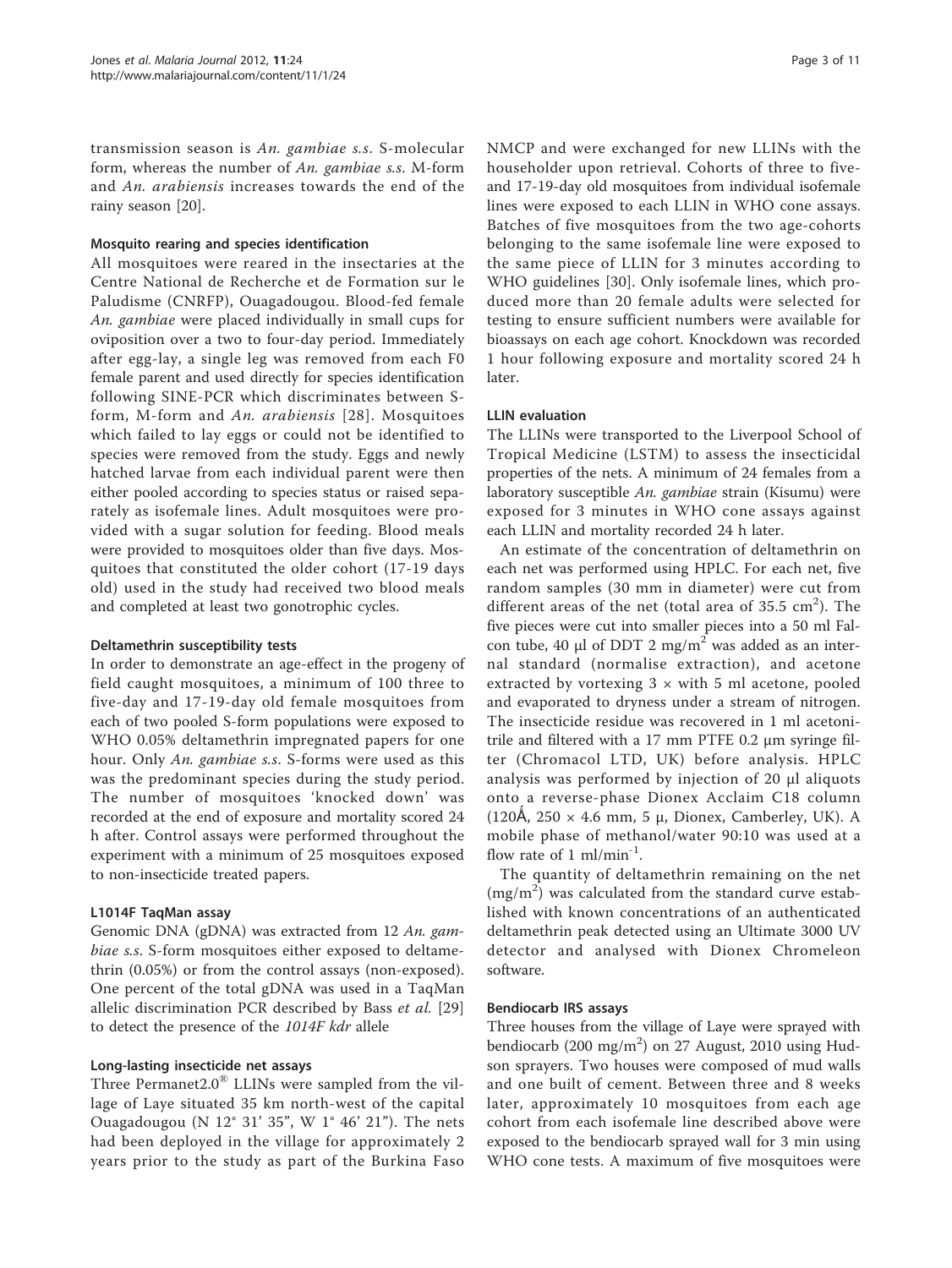transmission season is An. gambiae s.s. S-molecular form, whereas the number of An. gambiae s.s. M-form and An. arabiensis increases towards the end of the rainy season [\[20](#page-11-0)].

#### Mosquito rearing and species identification

All mosquitoes were reared in the insectaries at the Centre National de Recherche et de Formation sur le Paludisme (CNRFP), Ouagadougou. Blood-fed female An. gambiae were placed individually in small cups for oviposition over a two to four-day period. Immediately after egg-lay, a single leg was removed from each F0 female parent and used directly for species identification following SINE-PCR which discriminates between Sform, M-form and An. arabiensis [[28\]](#page-11-0). Mosquitoes which failed to lay eggs or could not be identified to species were removed from the study. Eggs and newly hatched larvae from each individual parent were then either pooled according to species status or raised separately as isofemale lines. Adult mosquitoes were provided with a sugar solution for feeding. Blood meals were provided to mosquitoes older than five days. Mosquitoes that constituted the older cohort (17-19 days old) used in the study had received two blood meals and completed at least two gonotrophic cycles.

#### Deltamethrin susceptibility tests

In order to demonstrate an age-effect in the progeny of field caught mosquitoes, a minimum of 100 three to five-day and 17-19-day old female mosquitoes from each of two pooled S-form populations were exposed to WHO 0.05% deltamethrin impregnated papers for one hour. Only An. gambiae s.s. S-forms were used as this was the predominant species during the study period. The number of mosquitoes 'knocked down' was recorded at the end of exposure and mortality scored 24 h after. Control assays were performed throughout the experiment with a minimum of 25 mosquitoes exposed to non-insecticide treated papers.

# L1014F TaqMan assay

Genomic DNA (gDNA) was extracted from 12 An. gambiae s.s. S-form mosquitoes either exposed to deltamethrin (0.05%) or from the control assays (non-exposed). One percent of the total gDNA was used in a TaqMan allelic discrimination PCR described by Bass et al. [\[29](#page-11-0)] to detect the presence of the 1014F kdr allele

#### Long-lasting insecticide net assays

Three Permanet $2.0^{\circledR}$  LLINs were sampled from the village of Laye situated 35 km north-west of the capital Ouagadougou (N 12° 31' 35", W 1° 46' 21"). The nets had been deployed in the village for approximately 2 years prior to the study as part of the Burkina Faso NMCP and were exchanged for new LLINs with the householder upon retrieval. Cohorts of three to fiveand 17-19-day old mosquitoes from individual isofemale lines were exposed to each LLIN in WHO cone assays. Batches of five mosquitoes from the two age-cohorts belonging to the same isofemale line were exposed to the same piece of LLIN for 3 minutes according to WHO guidelines [\[30](#page-11-0)]. Only isofemale lines, which produced more than 20 female adults were selected for testing to ensure sufficient numbers were available for bioassays on each age cohort. Knockdown was recorded 1 hour following exposure and mortality scored 24 h later.

#### LLIN evaluation

The LLINs were transported to the Liverpool School of Tropical Medicine (LSTM) to assess the insecticidal properties of the nets. A minimum of 24 females from a laboratory susceptible An. gambiae strain (Kisumu) were exposed for 3 minutes in WHO cone assays against each LLIN and mortality recorded 24 h later.

An estimate of the concentration of deltamethrin on each net was performed using HPLC. For each net, five random samples (30 mm in diameter) were cut from different areas of the net (total area of 35.5  $\text{cm}^2$ ). The five pieces were cut into smaller pieces into a 50 ml Falcon tube, 40 μl of DDT 2 mg/m<sup>2</sup> was added as an internal standard (normalise extraction), and acetone extracted by vortexing  $3 \times$  with  $5 \text{ ml}$  acetone, pooled and evaporated to dryness under a stream of nitrogen. The insecticide residue was recovered in 1 ml acetonitrile and filtered with a 17 mm PTFE 0.2 μm syringe filter (Chromacol LTD, UK) before analysis. HPLC analysis was performed by injection of 20 μl aliquots onto a reverse-phase Dionex Acclaim C18 column (120Å, 250  $\times$  4.6 mm, 5  $\mu$ , Dionex, Camberley, UK). A mobile phase of methanol/water 90:10 was used at a flow rate of 1 ml/min<sup>-1</sup>.

The quantity of deltamethrin remaining on the net  $(mg/m<sup>2</sup>)$  was calculated from the standard curve established with known concentrations of an authenticated deltamethrin peak detected using an Ultimate 3000 UV detector and analysed with Dionex Chromeleon software.

#### Bendiocarb IRS assays

Three houses from the village of Laye were sprayed with bendiocarb (200 mg/m<sup>2</sup>) on 27 August, 2010 using Hudson sprayers. Two houses were composed of mud walls and one built of cement. Between three and 8 weeks later, approximately 10 mosquitoes from each age cohort from each isofemale line described above were exposed to the bendiocarb sprayed wall for 3 min using WHO cone tests. A maximum of five mosquitoes were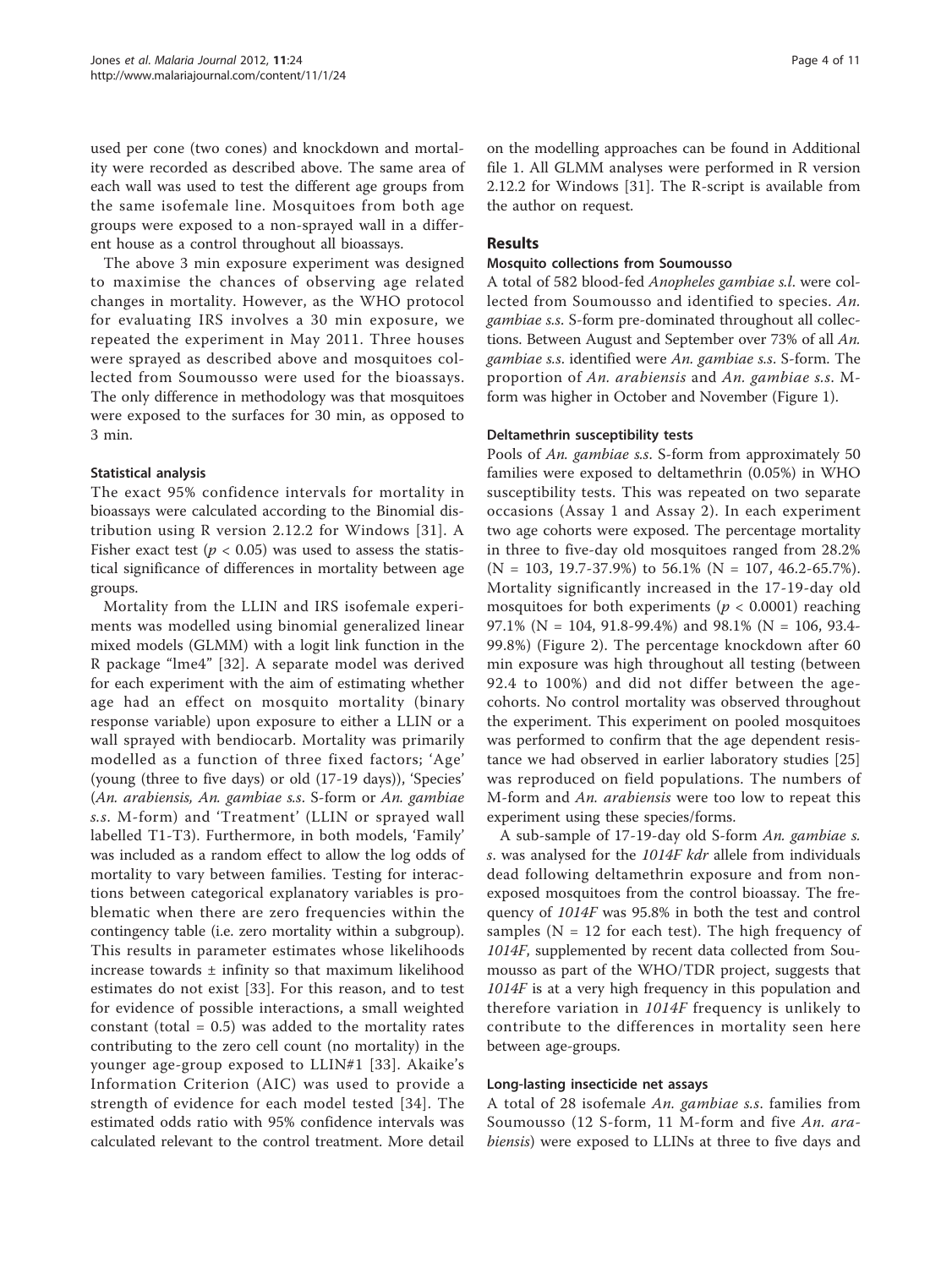used per cone (two cones) and knockdown and mortality were recorded as described above. The same area of each wall was used to test the different age groups from the same isofemale line. Mosquitoes from both age groups were exposed to a non-sprayed wall in a different house as a control throughout all bioassays.

The above 3 min exposure experiment was designed to maximise the chances of observing age related changes in mortality. However, as the WHO protocol for evaluating IRS involves a 30 min exposure, we repeated the experiment in May 2011. Three houses were sprayed as described above and mosquitoes collected from Soumousso were used for the bioassays. The only difference in methodology was that mosquitoes were exposed to the surfaces for 30 min, as opposed to 3 min.

# Statistical analysis

The exact 95% confidence intervals for mortality in bioassays were calculated according to the Binomial distribution using R version 2.12.2 for Windows [[31](#page-11-0)]. A Fisher exact test ( $p < 0.05$ ) was used to assess the statistical significance of differences in mortality between age groups.

Mortality from the LLIN and IRS isofemale experiments was modelled using binomial generalized linear mixed models (GLMM) with a logit link function in the R package "lme4" [[32](#page-11-0)]. A separate model was derived for each experiment with the aim of estimating whether age had an effect on mosquito mortality (binary response variable) upon exposure to either a LLIN or a wall sprayed with bendiocarb. Mortality was primarily modelled as a function of three fixed factors; 'Age' (young (three to five days) or old (17-19 days)), 'Species' (An. arabiensis, An. gambiae s.s. S-form or An. gambiae s.s. M-form) and 'Treatment' (LLIN or sprayed wall labelled T1-T3). Furthermore, in both models, 'Family' was included as a random effect to allow the log odds of mortality to vary between families. Testing for interactions between categorical explanatory variables is problematic when there are zero frequencies within the contingency table (i.e. zero mortality within a subgroup). This results in parameter estimates whose likelihoods increase towards ± infinity so that maximum likelihood estimates do not exist [\[33](#page-11-0)]. For this reason, and to test for evidence of possible interactions, a small weighted constant (total  $= 0.5$ ) was added to the mortality rates contributing to the zero cell count (no mortality) in the younger age-group exposed to LLIN#1 [[33](#page-11-0)]. Akaike's Information Criterion (AIC) was used to provide a strength of evidence for each model tested [[34](#page-11-0)]. The estimated odds ratio with 95% confidence intervals was calculated relevant to the control treatment. More detail

on the modelling approaches can be found in Additional file [1.](#page-10-0) All GLMM analyses were performed in R version 2.12.2 for Windows [[31\]](#page-11-0). The R-script is available from the author on request.

# Results

#### Mosquito collections from Soumousso

A total of 582 blood-fed Anopheles gambiae s.l. were collected from Soumousso and identified to species. An. gambiae s.s. S-form pre-dominated throughout all collections. Between August and September over 73% of all An. gambiae s.s. identified were An. gambiae s.s. S-form. The proportion of An. arabiensis and An. gambiae s.s. Mform was higher in October and November (Figure [1\)](#page-5-0).

#### Deltamethrin susceptibility tests

Pools of An. gambiae s.s. S-form from approximately 50 families were exposed to deltamethrin (0.05%) in WHO susceptibility tests. This was repeated on two separate occasions (Assay 1 and Assay 2). In each experiment two age cohorts were exposed. The percentage mortality in three to five-day old mosquitoes ranged from 28.2%  $(N = 103, 19.7 - 37.9%)$  to 56.1%  $(N = 107, 46.2 - 65.7%).$ Mortality significantly increased in the 17-19-day old mosquitoes for both experiments ( $p < 0.0001$ ) reaching 97.1% (N = 104, 91.8-99.4%) and 98.1% (N = 106, 93.4- 99.8%) (Figure [2\)](#page-6-0). The percentage knockdown after 60 min exposure was high throughout all testing (between 92.4 to 100%) and did not differ between the agecohorts. No control mortality was observed throughout the experiment. This experiment on pooled mosquitoes was performed to confirm that the age dependent resistance we had observed in earlier laboratory studies [\[25](#page-11-0)] was reproduced on field populations. The numbers of M-form and An. arabiensis were too low to repeat this experiment using these species/forms.

A sub-sample of 17-19-day old S-form An. gambiae s. s. was analysed for the 1014F kdr allele from individuals dead following deltamethrin exposure and from nonexposed mosquitoes from the control bioassay. The frequency of 1014F was 95.8% in both the test and control samples ( $N = 12$  for each test). The high frequency of 1014F, supplemented by recent data collected from Soumousso as part of the WHO/TDR project, suggests that 1014F is at a very high frequency in this population and therefore variation in 1014F frequency is unlikely to contribute to the differences in mortality seen here between age-groups.

#### Long-lasting insecticide net assays

A total of 28 isofemale An. gambiae s.s. families from Soumousso (12 S-form, 11 M-form and five An. arabiensis) were exposed to LLINs at three to five days and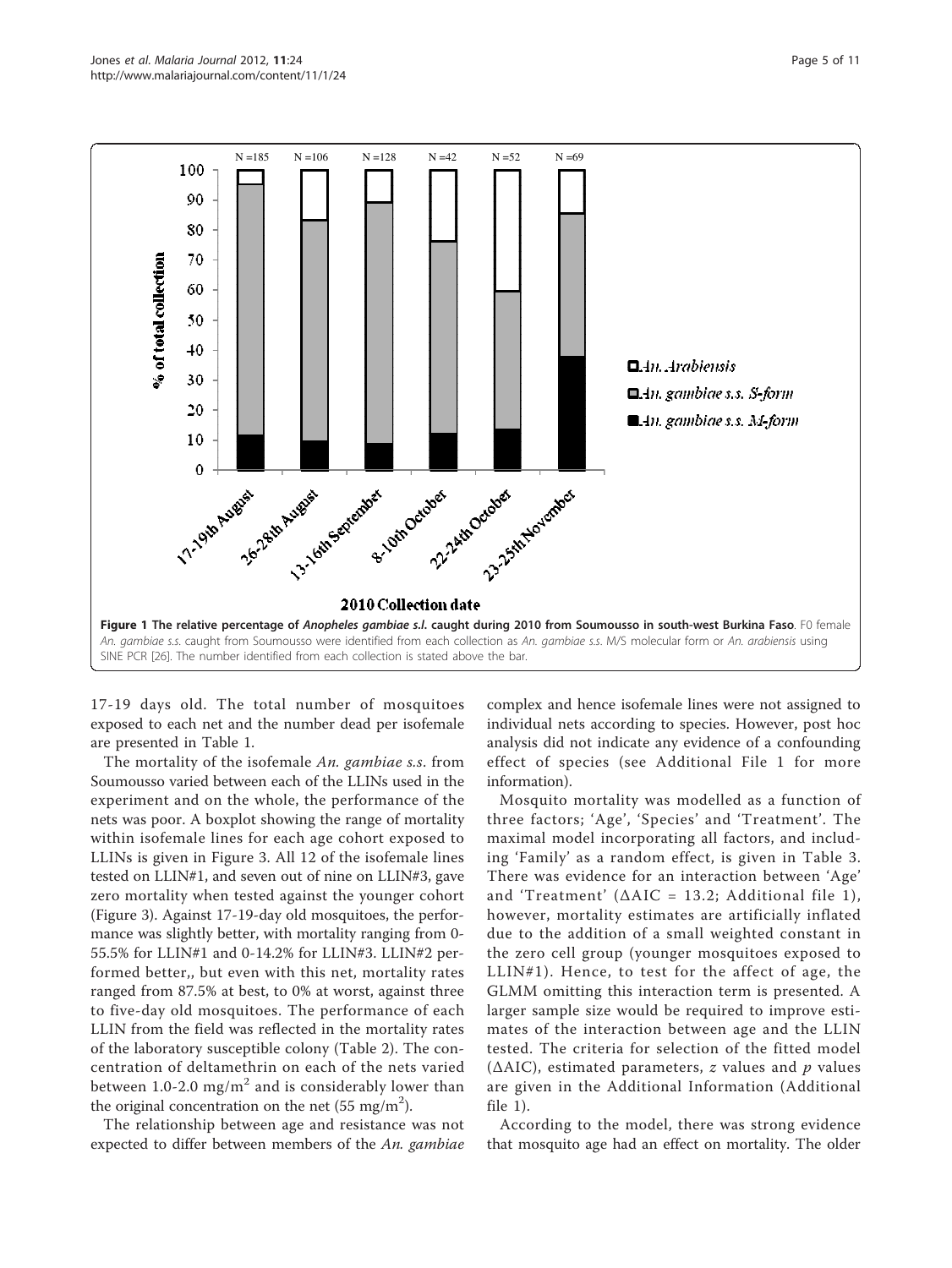<span id="page-5-0"></span>

17-19 days old. The total number of mosquitoes exposed to each net and the number dead per isofemale are presented in Table [1](#page-7-0).

The mortality of the isofemale An. gambiae s.s. from Soumousso varied between each of the LLINs used in the experiment and on the whole, the performance of the nets was poor. A boxplot showing the range of mortality within isofemale lines for each age cohort exposed to LLINs is given in Figure [3](#page-8-0). All 12 of the isofemale lines tested on LLIN#1, and seven out of nine on LLIN#3, gave zero mortality when tested against the younger cohort (Figure [3](#page-8-0)). Against 17-19-day old mosquitoes, the performance was slightly better, with mortality ranging from 0- 55.5% for LLIN#1 and 0-14.2% for LLIN#3. LLIN#2 performed better,, but even with this net, mortality rates ranged from 87.5% at best, to 0% at worst, against three to five-day old mosquitoes. The performance of each LLIN from the field was reflected in the mortality rates of the laboratory susceptible colony (Table [2\)](#page-8-0). The concentration of deltamethrin on each of the nets varied between 1.0-2.0 mg/ $m^2$  and is considerably lower than the original concentration on the net (55 mg/m<sup>2</sup>).

The relationship between age and resistance was not expected to differ between members of the An. gambiae

complex and hence isofemale lines were not assigned to individual nets according to species. However, post hoc analysis did not indicate any evidence of a confounding effect of species (see Additional File [1](#page-10-0) for more information).

Mosquito mortality was modelled as a function of three factors; 'Age', 'Species' and 'Treatment'. The maximal model incorporating all factors, and including 'Family' as a random effect, is given in Table [3](#page-9-0). There was evidence for an interaction between 'Age' and 'Treatment' ( $\Delta AIC = 13.2$ ; Additional file [1\)](#page-10-0), however, mortality estimates are artificially inflated due to the addition of a small weighted constant in the zero cell group (younger mosquitoes exposed to LLIN#1). Hence, to test for the affect of age, the GLMM omitting this interaction term is presented. A larger sample size would be required to improve estimates of the interaction between age and the LLIN tested. The criteria for selection of the fitted model ( $\triangle AIC$ ), estimated parameters, *z* values and *p* values are given in the Additional Information (Additional file [1](#page-10-0)).

According to the model, there was strong evidence that mosquito age had an effect on mortality. The older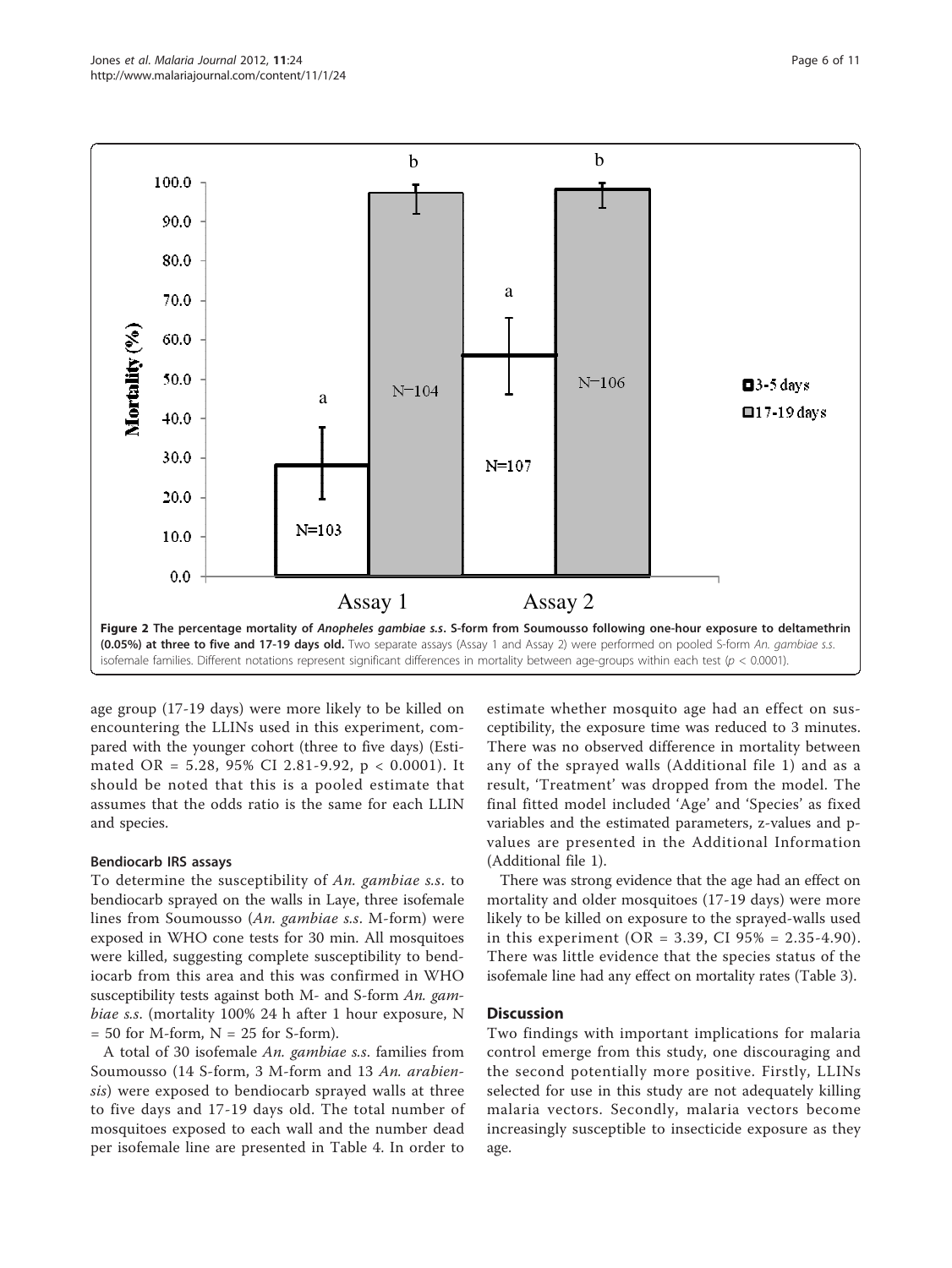<span id="page-6-0"></span>

age group (17-19 days) were more likely to be killed on encountering the LLINs used in this experiment, compared with the younger cohort (three to five days) (Estimated OR = 5.28, 95% CI 2.81-9.92, p < 0.0001). It should be noted that this is a pooled estimate that assumes that the odds ratio is the same for each LLIN and species.

#### Bendiocarb IRS assays

To determine the susceptibility of An. gambiae s.s. to bendiocarb sprayed on the walls in Laye, three isofemale lines from Soumousso (An. gambiae s.s. M-form) were exposed in WHO cone tests for 30 min. All mosquitoes were killed, suggesting complete susceptibility to bendiocarb from this area and this was confirmed in WHO susceptibility tests against both M- and S-form An. gambiae s.s. (mortality 100% 24 h after 1 hour exposure, N  $= 50$  for M-form,  $N = 25$  for S-form).

A total of 30 isofemale An. gambiae s.s. families from Soumousso (14 S-form, 3 M-form and 13 An. arabiensis) were exposed to bendiocarb sprayed walls at three to five days and 17-19 days old. The total number of mosquitoes exposed to each wall and the number dead per isofemale line are presented in Table [4](#page-9-0). In order to

estimate whether mosquito age had an effect on susceptibility, the exposure time was reduced to 3 minutes. There was no observed difference in mortality between any of the sprayed walls (Additional file [1](#page-10-0)) and as a result, 'Treatment' was dropped from the model. The final fitted model included 'Age' and 'Species' as fixed variables and the estimated parameters, z-values and pvalues are presented in the Additional Information (Additional file [1](#page-10-0)).

There was strong evidence that the age had an effect on mortality and older mosquitoes (17-19 days) were more likely to be killed on exposure to the sprayed-walls used in this experiment (OR = 3.39, CI  $95\%$  = 2.35-4.90). There was little evidence that the species status of the isofemale line had any effect on mortality rates (Table [3\)](#page-9-0).

#### **Discussion**

Two findings with important implications for malaria control emerge from this study, one discouraging and the second potentially more positive. Firstly, LLINs selected for use in this study are not adequately killing malaria vectors. Secondly, malaria vectors become increasingly susceptible to insecticide exposure as they age.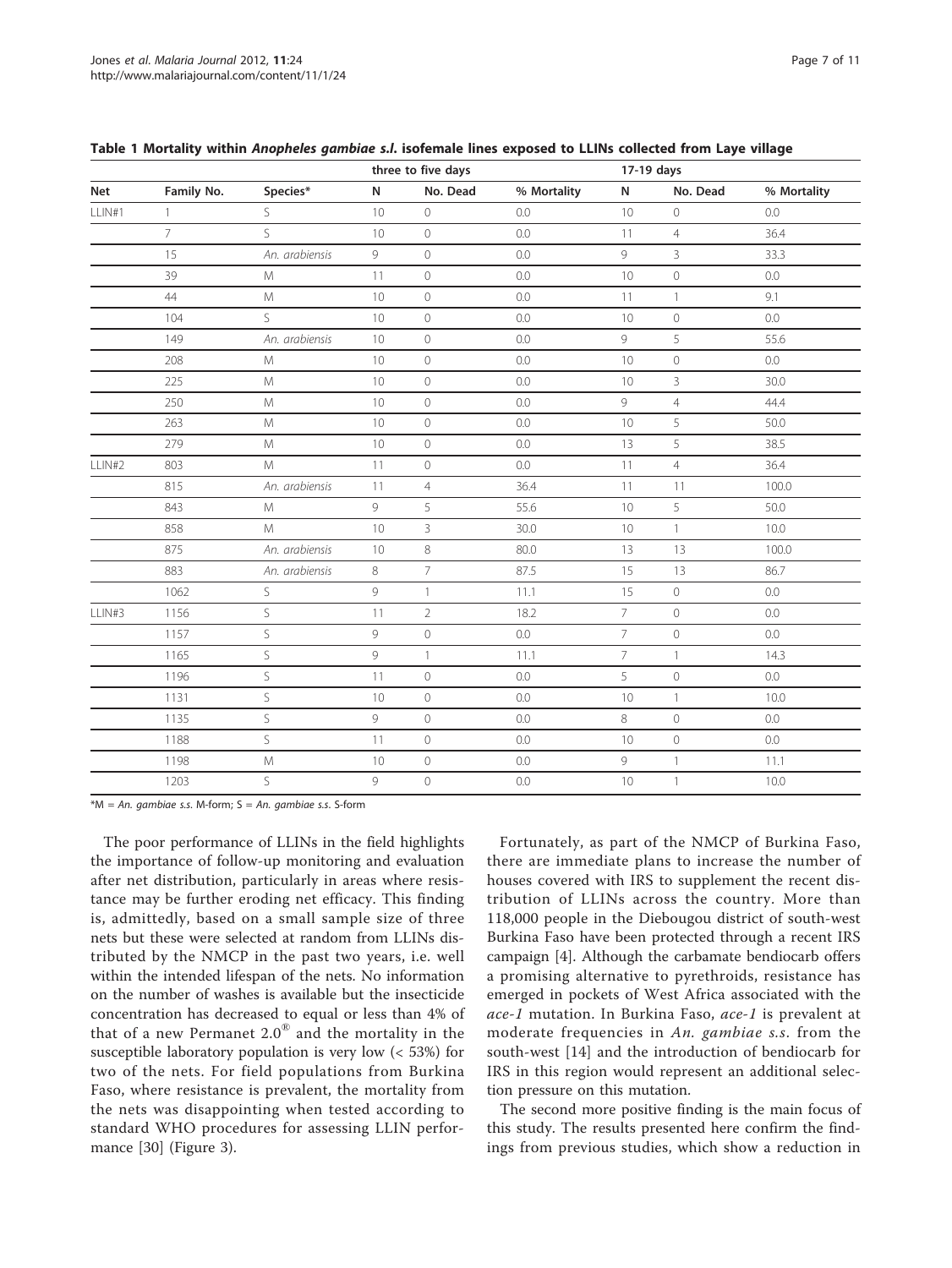$*M = An$ . gambiae s.s. M-form;  $S = An$ . gambiae s.s. S-form

The poor performance of LLINs in the field highlights the importance of follow-up monitoring and evaluation after net distribution, particularly in areas where resistance may be further eroding net efficacy. This finding is, admittedly, based on a small sample size of three nets but these were selected at random from LLINs distributed by the NMCP in the past two years, i.e. well within the intended lifespan of the nets. No information on the number of washes is available but the insecticide concentration has decreased to equal or less than 4% of that of a new Permanet  $2.0^{\circledast}$  and the mortality in the susceptible laboratory population is very low (< 53%) for two of the nets. For field populations from Burkina Faso, where resistance is prevalent, the mortality from the nets was disappointing when tested according to standard WHO procedures for assessing LLIN performance [[30](#page-11-0)] (Figure [3\)](#page-8-0).

Fortunately, as part of the NMCP of Burkina Faso, there are immediate plans to increase the number of houses covered with IRS to supplement the recent distribution of LLINs across the country. More than 118,000 people in the Diebougou district of south-west Burkina Faso have been protected through a recent IRS campaign [\[4](#page-10-0)]. Although the carbamate bendiocarb offers a promising alternative to pyrethroids, resistance has emerged in pockets of West Africa associated with the ace-1 mutation. In Burkina Faso, ace-1 is prevalent at moderate frequencies in An. gambiae s.s. from the south-west [[14](#page-11-0)] and the introduction of bendiocarb for IRS in this region would represent an additional selection pressure on this mutation.

The second more positive finding is the main focus of this study. The results presented here confirm the findings from previous studies, which show a reduction in

|        |                |                |                 | three to five days |             |                 | 17-19 days     |             |  |  |
|--------|----------------|----------------|-----------------|--------------------|-------------|-----------------|----------------|-------------|--|--|
| Net    | Family No.     | Species*       | N               | No. Dead           | % Mortality | N               | No. Dead       | % Mortality |  |  |
| LLIN#1 | $\mathbf{1}$   | S              | 10              | $\circ$            | 0.0         | 10              | 0              | 0.0         |  |  |
|        | $\overline{7}$ | S              | 10              | $\mathbf 0$        | 0.0         | 11              | $\overline{4}$ | 36.4        |  |  |
|        | 15             | An. arabiensis | 9               | $\overline{0}$     | 0.0         | 9               | $\overline{3}$ | 33.3        |  |  |
|        | 39             | M              | 11              | $\overline{0}$     | 0.0         | 10              | $\overline{0}$ | 0.0         |  |  |
|        | 44             | M              | 10              | $\mathbf 0$        | 0.0         | 11              | $\mathbf{1}$   | 9.1         |  |  |
|        | 104            | S              | 10              | $\mathbb O$        | 0.0         | 10              | 0              | 0.0         |  |  |
|        | 149            | An. arabiensis | 10 <sup>°</sup> | $\circ$            | 0.0         | 9               | 5              | 55.6        |  |  |
|        | 208            | M              | $10$            | $\mathcal O$       | 0.0         | 10              | $\mathsf O$    | 0.0         |  |  |
|        | 225            | M              | 10              | $\circ$            | 0.0         | 10              | 3              | 30.0        |  |  |
|        | 250            | M              | 10              | $\circ$            | 0.0         | 9               | $\overline{4}$ | 44.4        |  |  |
|        | 263            | M              | 10 <sup>°</sup> | $\mathbf 0$        | 0.0         | 10              | 5              | 50.0        |  |  |
|        | 279            | M              | 10 <sup>°</sup> | $\mathbf 0$        | 0.0         | 13              | 5              | 38.5        |  |  |
| LLIN#2 | 803            | M              | 11              | $\mathbf 0$        | 0.0         | 11              | $\overline{4}$ | 36.4        |  |  |
|        | 815            | An. arabiensis | 11              | $\overline{4}$     | 36.4        | 11              | 11             | 100.0       |  |  |
|        | 843            | M              | 9               | 5                  | 55.6        | 10              | 5              | 50.0        |  |  |
|        | 858            | M              | 10              | 3                  | 30.0        | 10              | $\mathbf{1}$   | 10.0        |  |  |
|        | 875            | An. arabiensis | $10$            | 8                  | 80.0        | 13              | 13             | 100.0       |  |  |
|        | 883            | An. arabiensis | 8               | $\overline{7}$     | 87.5        | 15              | 13             | 86.7        |  |  |
|        | 1062           | S              | 9               | $\mathbf{1}$       | 11.1        | 15              | $\mathcal{O}$  | 0.0         |  |  |
| LLIN#3 | 1156           | S              | 11              | $\overline{2}$     | 18.2        | $7\overline{ }$ | $\overline{0}$ | 0.0         |  |  |
|        | 1157           | S              | 9               | $\mathbf 0$        | 0.0         | $\overline{7}$  | $\overline{0}$ | 0.0         |  |  |
|        | 1165           | S              | 9               | $\mathbf{1}$       | 11.1        | $\overline{7}$  | $\mathbf{1}$   | 14.3        |  |  |
|        | 1196           | S              | 11              | $\overline{0}$     | 0.0         | 5               | $\overline{0}$ | 0.0         |  |  |
|        | 1131           | S              | 10              | $\mathbb O$        | 0.0         | 10              | $\mathbf{1}$   | 10.0        |  |  |
|        | 1135           | S              | 9               | $\circ$            | 0.0         | 8               | $\mathcal{O}$  | 0.0         |  |  |
|        | 1188           | S              | 11              | $\circ$            | 0.0         | 10              | $\mathcal O$   | 0.0         |  |  |
|        | 1198           | M              | 10              | $\mathbb O$        | $0.0\,$     | 9               | $\mathbf{1}$   | 11.1        |  |  |
|        | 1203           | S              | 9               | $\overline{0}$     | 0.0         | 10              | $\mathbf{1}$   | 10.0        |  |  |

<span id="page-7-0"></span>

|  |  |  | Table 1 Mortality within Anopheles gambiae s.l. isofemale lines exposed to LLINs collected from Laye village |  |  |  |
|--|--|--|--------------------------------------------------------------------------------------------------------------|--|--|--|
|--|--|--|--------------------------------------------------------------------------------------------------------------|--|--|--|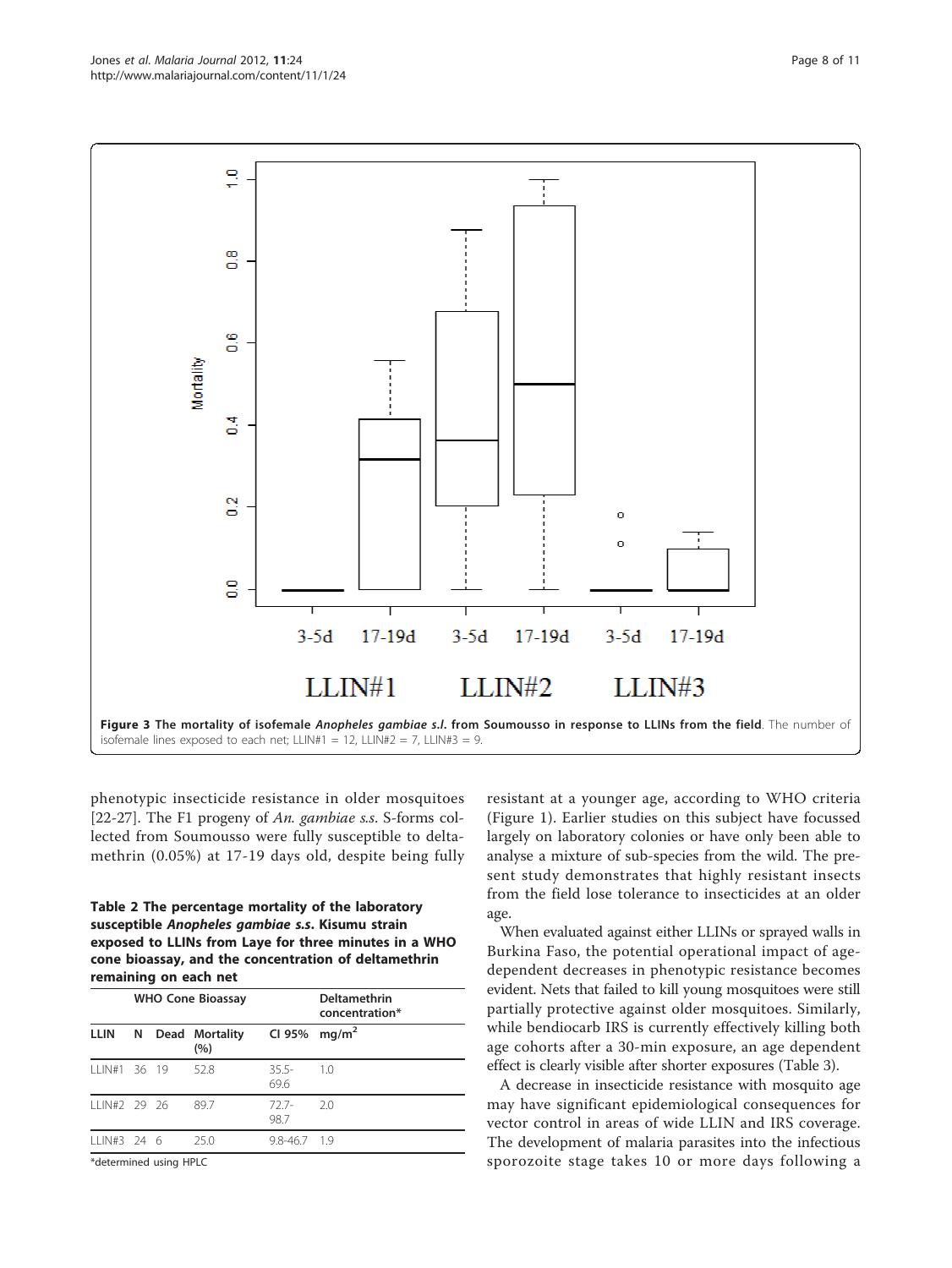methrin (0.05%) at 17-19 days old, despite being fully

#### Table 2 The percentage mortality of the laboratory susceptible Anopheles gambiae s.s. Kisumu strain exposed to LLINs from Laye for three minutes in a WHO cone bioassay, and the concentration of deltamethrin remaining on each net

|               |       |        | <b>WHO Cone Bioassay</b> | Deltamethrin<br>concentration* |                   |  |  |
|---------------|-------|--------|--------------------------|--------------------------------|-------------------|--|--|
| <b>LLIN</b>   | N     |        | Dead Mortality<br>(%)    | CI 95%                         | mq/m <sup>2</sup> |  |  |
| 111N#1        | 36 19 |        | 52.8                     | $35.5 -$<br>69.6               | 10                |  |  |
| IIIN#2 29 26  |       |        | 89.7                     | 727-<br>98.7                   | 2.0               |  |  |
| $111N#3$ 24 6 |       |        | 250                      | $9.8 - 46.7$ 1.9               |                   |  |  |
|               |       | $\sim$ |                          |                                |                   |  |  |

\*determined using HPLC

resistant at a younger age, according to WHO criteria (Figure [1\)](#page-5-0). Earlier studies on this subject have focussed largely on laboratory colonies or have only been able to analyse a mixture of sub-species from the wild. The present study demonstrates that highly resistant insects from the field lose tolerance to insecticides at an older age.

When evaluated against either LLINs or sprayed walls in Burkina Faso, the potential operational impact of agedependent decreases in phenotypic resistance becomes evident. Nets that failed to kill young mosquitoes were still partially protective against older mosquitoes. Similarly, while bendiocarb IRS is currently effectively killing both age cohorts after a 30-min exposure, an age dependent effect is clearly visible after shorter exposures (Table [3](#page-9-0)).

A decrease in insecticide resistance with mosquito age may have significant epidemiological consequences for vector control in areas of wide LLIN and IRS coverage. The development of malaria parasites into the infectious sporozoite stage takes 10 or more days following a



<span id="page-8-0"></span>O

္မ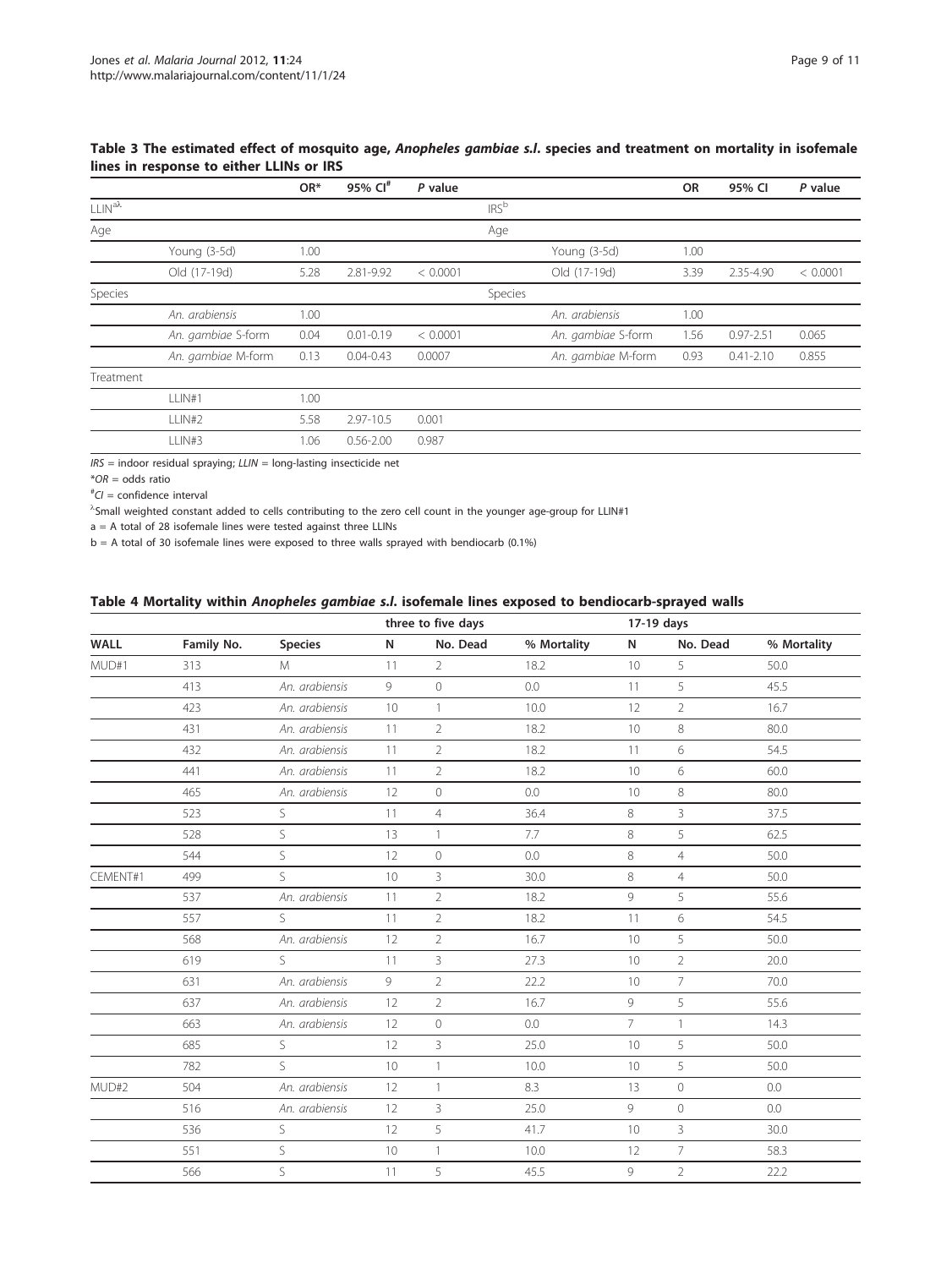|                   |                    | OR*  | 95% Cl <sup>#</sup> | P value  |                  |                    | <b>OR</b> | 95% CI        | P value  |
|-------------------|--------------------|------|---------------------|----------|------------------|--------------------|-----------|---------------|----------|
| $111N^{a\lambda}$ |                    |      |                     |          | IRS <sup>b</sup> |                    |           |               |          |
| Age               |                    |      |                     |          | Age              |                    |           |               |          |
|                   | Young (3-5d)       | 1.00 |                     |          |                  | Young (3-5d)       | 1.00      |               |          |
|                   | Old (17-19d)       | 5.28 | 2.81-9.92           | < 0.0001 |                  | Old (17-19d)       | 3.39      | 2.35-4.90     | < 0.0001 |
| Species           |                    |      |                     |          | Species          |                    |           |               |          |
|                   | An. arabiensis     | 1.00 |                     |          |                  | An. arabiensis     | 1.00      |               |          |
|                   | An. gambiae S-form | 0.04 | $0.01 - 0.19$       | < 0.0001 |                  | An. gambiae S-form | 1.56      | $0.97 - 2.51$ | 0.065    |
|                   | An. gambiae M-form | 0.13 | $0.04 - 0.43$       | 0.0007   |                  | An. gambiae M-form | 0.93      | $0.41 - 2.10$ | 0.855    |
| Treatment         |                    |      |                     |          |                  |                    |           |               |          |
|                   | LLIN#1             | 1.00 |                     |          |                  |                    |           |               |          |
|                   | LLIN#2             | 5.58 | 2.97-10.5           | 0.001    |                  |                    |           |               |          |
|                   | LLIN#3             | 1.06 | $0.56 - 2.00$       | 0.987    |                  |                    |           |               |          |

# <span id="page-9-0"></span>Table 3 The estimated effect of mosquito age, Anopheles gambiae s.l. species and treatment on mortality in isofemale lines in response to either LLINs or IRS

 $IRS =$  indoor residual spraying;  $LLIN =$  long-lasting insecticide net

 $*OR = odds ratio$ 

# CI = confidence interval

l Small weighted constant added to cells contributing to the zero cell count in the younger age-group for LLIN#1

a = A total of 28 isofemale lines were tested against three LLINs

b = A total of 30 isofemale lines were exposed to three walls sprayed with bendiocarb (0.1%)

# Table 4 Mortality within Anopheles gambiae s.l. isofemale lines exposed to bendiocarb-sprayed walls

|             |            |                |    | three to five days |             |                | 17-19 days     |             |  |
|-------------|------------|----------------|----|--------------------|-------------|----------------|----------------|-------------|--|
| <b>WALL</b> | Family No. | <b>Species</b> | N  | No. Dead           | % Mortality | N              | No. Dead       | % Mortality |  |
| MUD#1       | 313        | M              | 11 | $\overline{2}$     | 18.2        | 10             | 5              | 50.0        |  |
|             | 413        | An. arabiensis | 9  | $\circ$            | 0.0         | 11             | 5              | 45.5        |  |
|             | 423        | An. arabiensis | 10 | $\mathbf{1}$       | 10.0        | 12             | $\overline{2}$ | 16.7        |  |
|             | 431        | An. arabiensis | 11 | $\overline{2}$     | 18.2        | 10             | 8              | 80.0        |  |
|             | 432        | An. arabiensis | 11 | $\overline{2}$     | 18.2        | 11             | 6              | 54.5        |  |
|             | 441        | An. arabiensis | 11 | $\overline{2}$     | 18.2        | 10             | 6              | 60.0        |  |
|             | 465        | An. arabiensis | 12 | $\circ$            | 0.0         | 10             | 8              | 80.0        |  |
|             | 523        | S              | 11 | $\overline{4}$     | 36.4        | 8              | $\overline{3}$ | 37.5        |  |
|             | 528        | S              | 13 | $\mathbf{1}$       | 7.7         | 8              | 5              | 62.5        |  |
|             | 544        | $\mathsf{S}$   | 12 | $\circ$            | 0.0         | 8              | $\overline{4}$ | 50.0        |  |
| CEMENT#1    | 499        | S              | 10 | $\overline{3}$     | 30.0        | 8              | $\overline{4}$ | 50.0        |  |
|             | 537        | An. arabiensis | 11 | $\overline{2}$     | 18.2        | 9              | 5              | 55.6        |  |
|             | 557        | S              | 11 | $\overline{2}$     | 18.2        | 11             | 6              | 54.5        |  |
|             | 568        | An. arabiensis | 12 | $\overline{2}$     | 16.7        | 10             | 5              | 50.0        |  |
|             | 619        | S              | 11 | 3                  | 27.3        | 10             | $\overline{2}$ | 20.0        |  |
|             | 631        | An. arabiensis | 9  | $\overline{2}$     | 22.2        | 10             | $\overline{7}$ | 70.0        |  |
|             | 637        | An. arabiensis | 12 | $\overline{2}$     | 16.7        | 9              | 5              | 55.6        |  |
|             | 663        | An. arabiensis | 12 | $\circ$            | 0.0         | $\overline{7}$ | $\mathbf{1}$   | 14.3        |  |
|             | 685        | S              | 12 | 3                  | 25.0        | 10             | 5              | 50.0        |  |
|             | 782        | S.             | 10 | $\mathbf{1}$       | 10.0        | 10             | 5              | 50.0        |  |
| MUD#2       | 504        | An. arabiensis | 12 | $\mathbf{1}$       | 8.3         | 13             | $\circ$        | 0.0         |  |
|             | 516        | An. arabiensis | 12 | 3                  | 25.0        | 9              | $\circ$        | 0.0         |  |
|             | 536        | S              | 12 | 5                  | 41.7        | 10             | $\overline{3}$ | 30.0        |  |
|             | 551        | S              | 10 | $\mathbf{1}$       | 10.0        | 12             | $\overline{7}$ | 58.3        |  |
|             | 566        | S              | 11 | 5                  | 45.5        | 9              | $\overline{2}$ | 22.2        |  |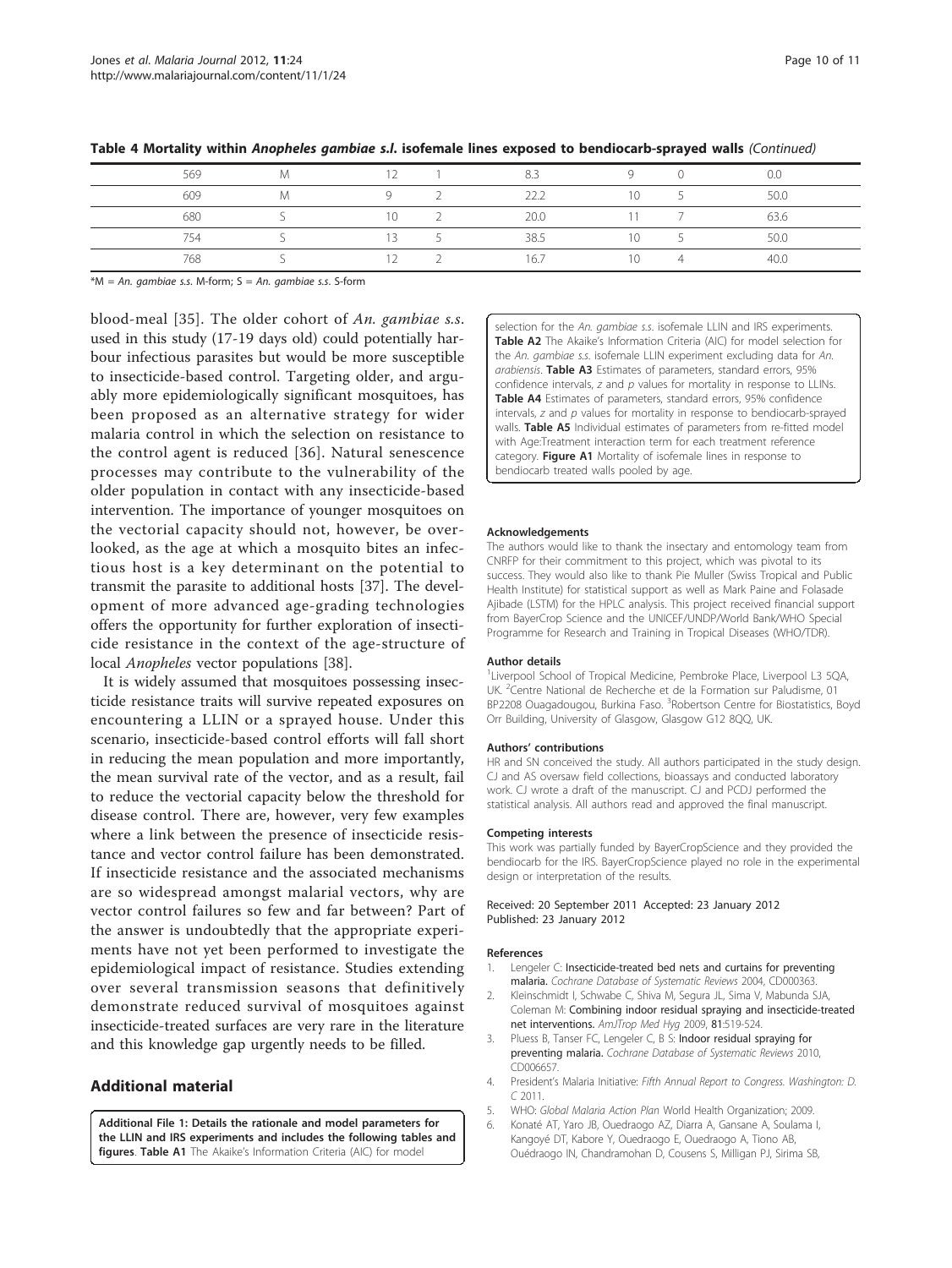| 569 | $\sim$ $\sim$ | 8.3  |        | 0.0  |
|-----|---------------|------|--------|------|
| 609 |               | つつつ  | $\sim$ | 50.0 |
| 680 | 10            | 20.0 |        | 63.6 |
| 754 | $\sim$ $\sim$ | 38.5 |        | 50.0 |
| 768 |               | 16.7 |        | 40.0 |

<span id="page-10-0"></span>Table 4 Mortality within Anopheles gambiae s.l. isofemale lines exposed to bendiocarb-sprayed walls (Continued)

 $*M = An$ . gambiae s.s. M-form; S = An. gambiae s.s. S-form

blood-meal [[35](#page-11-0)]. The older cohort of An. gambiae s.s. used in this study (17-19 days old) could potentially harbour infectious parasites but would be more susceptible to insecticide-based control. Targeting older, and arguably more epidemiologically significant mosquitoes, has been proposed as an alternative strategy for wider malaria control in which the selection on resistance to the control agent is reduced [\[36\]](#page-11-0). Natural senescence processes may contribute to the vulnerability of the older population in contact with any insecticide-based intervention. The importance of younger mosquitoes on the vectorial capacity should not, however, be overlooked, as the age at which a mosquito bites an infectious host is a key determinant on the potential to transmit the parasite to additional hosts [\[37\]](#page-11-0). The development of more advanced age-grading technologies offers the opportunity for further exploration of insecticide resistance in the context of the age-structure of local Anopheles vector populations [\[38](#page-11-0)].

It is widely assumed that mosquitoes possessing insecticide resistance traits will survive repeated exposures on encountering a LLIN or a sprayed house. Under this scenario, insecticide-based control efforts will fall short in reducing the mean population and more importantly, the mean survival rate of the vector, and as a result, fail to reduce the vectorial capacity below the threshold for disease control. There are, however, very few examples where a link between the presence of insecticide resistance and vector control failure has been demonstrated. If insecticide resistance and the associated mechanisms are so widespread amongst malarial vectors, why are vector control failures so few and far between? Part of the answer is undoubtedly that the appropriate experiments have not yet been performed to investigate the epidemiological impact of resistance. Studies extending over several transmission seasons that definitively demonstrate reduced survival of mosquitoes against insecticide-treated surfaces are very rare in the literature and this knowledge gap urgently needs to be filled.

# Additional material

[Additional File 1:](http://www.biomedcentral.com/content/supplementary/1475-2875-11-24-S1.DOC) Details the rationale and model parameters for the LLIN and IRS experiments and includes the following tables and figures. Table A1 The Akaike's Information Criteria (AIC) for model

selection for the An. *gambiae s.s.* isofemale LLIN and IRS experiments. Table A2 The Akaike's Information Criteria (AIC) for model selection for the An. gambiae s.s. isofemale LLIN experiment excluding data for An. arabiensis. Table A3 Estimates of parameters, standard errors, 95% confidence intervals,  $z$  and  $p$  values for mortality in response to LLINs. Table A4 Estimates of parameters, standard errors, 95% confidence intervals,  $z$  and  $p$  values for mortality in response to bendiocarb-sprayed walls. Table A5 Individual estimates of parameters from re-fitted model with Age:Treatment interaction term for each treatment reference category. Figure A1 Mortality of isofemale lines in response to bendiocarb treated walls pooled by age.

#### Acknowledgements

The authors would like to thank the insectary and entomology team from CNRFP for their commitment to this project, which was pivotal to its success. They would also like to thank Pie Muller (Swiss Tropical and Public Health Institute) for statistical support as well as Mark Paine and Folasade Ajibade (LSTM) for the HPLC analysis. This project received financial support from BayerCrop Science and the UNICEF/UNDP/World Bank/WHO Special Programme for Research and Training in Tropical Diseases (WHO/TDR).

#### Author details

<sup>1</sup> Liverpool School of Tropical Medicine, Pembroke Place, Liverpool L3 5QA, UK. <sup>2</sup>Centre National de Recherche et de la Formation sur Paludisme, 01 BP2208 Ouagadougou, Burkina Faso. <sup>3</sup>Robertson Centre for Biostatistics, Boyd Orr Building, University of Glasgow, Glasgow G12 8QQ, UK.

#### Authors' contributions

HR and SN conceived the study. All authors participated in the study design. CJ and AS oversaw field collections, bioassays and conducted laboratory work. CJ wrote a draft of the manuscript. CJ and PCDJ performed the statistical analysis. All authors read and approved the final manuscript.

#### Competing interests

This work was partially funded by BayerCropScience and they provided the bendiocarb for the IRS. BayerCropScience played no role in the experimental design or interpretation of the results.

Received: 20 September 2011 Accepted: 23 January 2012 Published: 23 January 2012

#### References

- 1. Lengeler C: Insecticide-treated bed nets and curtains for preventing malaria. Cochrane Database of Systematic Reviews 2004, CD000363.
- 2. Kleinschmidt I, Schwabe C, Shiva M, Segura JL, Sima V, Mabunda SJA, Coleman M: Combining indoor residual spraying and insecticide-treated net interventions. AmJTrop Med Hyg 2009, 81:519-524.
- 3. Pluess B, Tanser FC, Lengeler C, B S: Indoor residual spraying for preventing malaria. Cochrane Database of Systematic Reviews 2010, CD006657.
- 4. President's Malaria Initiative: Fifth Annual Report to Congress. Washington: D. C 2011.
- 5. WHO: Global Malaria Action Plan World Health Organization; 2009.
- 6. Konaté AT, Yaro JB, Ouedraogo AZ, Diarra A, Gansane A, Soulama I, Kangoyé DT, Kabore Y, Ouedraogo E, Ouedraogo A, Tiono AB, Ouédraogo IN, Chandramohan D, Cousens S, Milligan PJ, Sirima SB,